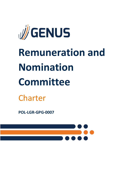

# **Remuneration and Nomination Committee**

# Charter

**POL-LGR-GPG-0007**

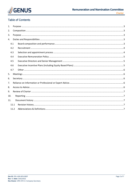

# **Table of Contents**

| 1.                |      |  |  |  |  |  |  |
|-------------------|------|--|--|--|--|--|--|
| 2.                |      |  |  |  |  |  |  |
| 3.                |      |  |  |  |  |  |  |
| 4.                |      |  |  |  |  |  |  |
|                   | 4.1  |  |  |  |  |  |  |
| 4.2<br>4.3<br>4.4 |      |  |  |  |  |  |  |
|                   |      |  |  |  |  |  |  |
|                   |      |  |  |  |  |  |  |
|                   | 4.5  |  |  |  |  |  |  |
|                   | 4.6  |  |  |  |  |  |  |
|                   | 4.7  |  |  |  |  |  |  |
| 5.                |      |  |  |  |  |  |  |
| 6.                |      |  |  |  |  |  |  |
| 7.                |      |  |  |  |  |  |  |
| 8.                |      |  |  |  |  |  |  |
| 9.                |      |  |  |  |  |  |  |
| 10.               |      |  |  |  |  |  |  |
| 11.               |      |  |  |  |  |  |  |
|                   | 11.1 |  |  |  |  |  |  |
|                   | 11.2 |  |  |  |  |  |  |
|                   |      |  |  |  |  |  |  |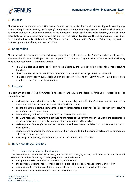

# <span id="page-2-0"></span>**1.** Purpose

The role of the Remuneration and Nomination Committee is to assist the Board in monitoring and reviewing any matters of significance affecting the Company's remuneration and nomination policies and practices which enable it to attract and retain senior management of the Company (comprising the Managing Director, and such other individuals as the Committee determines from time to time (**Senior Management**)) and appropriately align their interests with those of key stakeholders. This Charter defines the Remuneration Committee's function, composition, mode of operation, authority, and responsibilities

# <span id="page-2-1"></span>**2.** Composition

The Board will strive to adhere to the following composition requirements for the Committee where at all possible. However, the Board acknowledges that the composition of the Board may not allow adherence to the following composition requirements from time to time.

- The Committee shall comprise at least three Directors, the majority being independent non-executive Directors.
- The Committee will be chaired by an independent Director who will be appointed by the Board.
- The Board may appoint such additional non-executive Directors to the Committee or remove and replace members of the Committee by resolution.

### <span id="page-2-2"></span>**3.** Purpose

The primary purpose of the Committee is to support and advise the Board in fulfilling its responsibilities to shareholders by:

- reviewing and approving the executive remuneration policy to enable the Company to attract and retain executives and Directors who will create value for shareholders;
- ensuring that the executive remuneration policy demonstrates a clear relationship between key executive performance and remuneration;
- recommending to the Board the remuneration of executive Directors;
- fairly and responsibly rewarding executives having regard to the performance of the Group, the performance of the executive and the prevailing remuneration expectations in the market;
- reviewing the Company's recruitment, retention and termination policies and procedures for senior management;
- reviewing and approving the remuneration of direct reports to the Managing Director, and as appropriate other senior executives; and
- reviewing and approving any equity-based plans and other incentive schemes.

# <span id="page-2-3"></span>**4.** Duties and Responsibilities

#### <span id="page-2-4"></span>4.1 Board composition and performance

The Committee is responsible for assisting the Board in discharging its responsibilities in relation to Board composition and performance, including responsibilities in relation to:

- the appropriate size, composition and diversity of the Board;
- the appropriate criteria (necessary and desirable skills and experience) for appointment of directors;
- recommendations for the appointment, composition, re-election and removal of directors;
- recommendations for the composition of Board committees;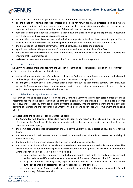

- the terms and conditions of appointment to and retirement from the Board;
- ensuring that an effective induction process is in place for newly appointed directors (including, where appropriate, training on key accounting matters and on the responsibilities of directors in relation to the Company's financial statements) and review of those induction procedures;
- regularly assessing whether the Directors as a group have the skills, knowledge and experience to deal with new and emerging business and governance issues;
- ensuring that continuing Directors are provided with appropriate professional development opportunities to develop and maintain the skills and knowledge needed to perform their role as a director effectively;
- the evaluation of the Board's performance; of the Board, its committees and Directors;
- appointing, reviewing the performance of, remunerating and replacing the chair of the Board;
- the time Non-Executive Directors are expected to devote to the Company's affairs and whether Directors are meeting that requirement; and
- review of development and succession plans for Directors and Senior Management.

#### <span id="page-3-0"></span>4.2 Recruitment

The Committee is responsible for assisting the Board in discharging its responsibilities in relation to recruitment of Directors and Senior Management, including:

- undertaking appropriate checks (including as to the person's character, experience, education, criminal record and bankruptcy history) before appointing a Director or Senior Manager; and
- ensuring the Company enters into a written agreement setting out the appointment terms with the individual personally (except where a bona fide professional services firm is being engaged on an outsourced basis, in which case, the agreement may be with that entity).

#### <span id="page-3-1"></span>4.3 Selection and appointment process

In searching for and selecting new Directors for the Board, the Committee may adopt certain criteria to make recommendations to the Board, including the candidate's background, experience, professional skills, personal qualities, gender, capability of the candidate to devote the necessary time and commitment to the role, potential conflicts of interest and independence and whether their skills and experience will complement the existing Board.

With respect to the selection of candidates for the Board:

- the Committee will develop a Board skills matrix to identify any 'gaps' in the skills and experience of the directors on the Board, and if thought appropriate, will implement such a matrix and disclose it in the Company's annual report;
- the Committee will take into consideration the Company's Diversity Policy in selecting new directors for the Board.
- the Committee will obtain assistance from professional intermediaries to identify and assess the suitability of Board candidates;
- the Committee will undertake appropriate checks in respect of each candidate;
- the names of candidates submitted for election or re-election as directors at a shareholder meeting should be accompanied in the notice of meeting by all material information in its possession relevant to a decision on whether or not to elect or re-elect a director, including:
	- a. confirmation that the Company has conducted appropriate checks into the candidate's background and experience and if those checks have revealed any information of concern, that information;
	- b. biographical details, including skills, experience, competencies and qualifications and information sufficient to enable an assessment of the independence of the candidate;
	- c. a statement by the Board as to whether it supports the nomination of the proposed candidate(s) and a summary of the reasons why;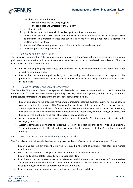

- d. details of relationships between:
	- i. the candidate and the Company; and
	- ii. the candidate and Directors of the Company;
- e. directorships held;
- f. particulars of other positions which involve significant time commitments;
- g. any interests, positions, associations or relationships that might influence, or reasonably be perceived to influence, in a material respect that candidate's capacity to bring independent judgement on matters before the Board;
- h. the term of office currently served by any director subject to re-election; and
- i. any other particulars required by law.

#### <span id="page-4-0"></span>4.4 Executive Remuneration Policy

The Executive Remuneration Policy is to review and approve the Group's recruitment, retention and termination policies and procedures for senior executives to enable the Company to attract and retain executives and Directors who can create value for shareholders.

- Review the on-going appropriateness and relevance of the executive remuneration policy and other executive benefit programs.
- Ensure that remuneration policies fairly and responsibly reward executives having regard to the performance of the Company, the performance of the executive and prevailing remuneration expectations in the market.

#### <span id="page-4-1"></span>4.5 Executive Directors and Senior Management

The Executive Directors and Senior Management shall consider and make recommendations to the Board on the remuneration for each executive Director (including base pay, incentive payments, equity awards, retirement rights, service contracts) having regard to the executive remuneration policy.

- Review and approve the proposed remuneration (including incentive awards, equity awards and service contracts) for the direct reports of the Managing Director. As part of this review the Committee will oversee an annual performance evaluation of the senior executive team. This evaluation is based on specific criteria, including the business performance of the Company and its subsidiaries, whether strategic objectives are being achieved and the development of management and personnel.
- Approve changes to the remuneration or contract terms of executive Directors and direct reports to the Managing Director.
- Approve termination payments to executive Directors or direct reports to the Managing Director. Termination payments to other departing executives should be reported to the Committee at its next meeting.

#### <span id="page-4-2"></span>4.6 Executive Incentive Plans (including Equity Based Plans)

The Executive Incentive Plans shall review and approve the design of any executive incentive plans (Plans).

- Review and approve any Plans that may be introduced in the light of legislative, regulatory and market developments.
- For each Plan, determine each year whether awards will be made under that Plan.
- Review and approve total proposed awards under each Plan.
- In addition to considering awards to executive Directors and direct reports to the Managing Director, review and approve proposed awards under each Plan on an individual basis for executives as required under the rules governing each Plan or as determined by the Committee.
- Review, approve and keep under review performance hurdles for each Plan.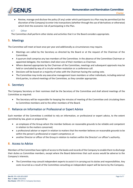

• Review, manage and disclose the policy (if any) under which participants to a Plan may be permitted (at the discretion of the Company) to enter into transactions (whether through the use of derivatives or otherwise) which limit the economic risk of participating in the Plan.

<span id="page-5-0"></span>4.7 Other

The Committee shall perform other duties and activities that it or the Board considers appropriate.

#### <span id="page-5-1"></span>**5.** Meetings

The Committee will meet at least once per year and additionally as circumstances may require.

- Meetings are called by the Secretary as directed by the Board or at the request of the Chairman of the Committee.
- A quorum shall comprise any two members of the Committee. In the absence of the Committee Chairman or appointed delegate, the members shall elect one of their members as Chairman.
- Where deemed appropriate by the Chairman of the Committee, meetings and subsequent approvals may be held or concluded by way of a circular written resolution or a conference call.
- Decisions will be based on a majority of votes with the Chairman having the casting vote.
- The Committee may invite any executive management team members or other individuals, including external third parties, to attend meetings of the Committee, as they consider appropriate.

#### <span id="page-5-2"></span>**6.** Secretary

The Company Secretary or their nominee shall be the Secretary of the Committee and shall attend meetings of the Committee as required.

• The Secretary will be responsible for keeping the minutes of meeting of the Committee and circulating them to Committee members and to the other members of the Board.

#### <span id="page-5-3"></span>**7.** Reliance on Information or Professional or Expert Advice

Each member of the Committee is entitled to rely on information, or professional or expert advice, to the extent permitted by law, given or prepared by:

- an employee of the Group whom the member believes on reasonable grounds to be reliable and competent in relation to the matters concerned;
- a professional adviser or expert in relation to matters that the member believes on reasonable grounds to be within the person's professional or expert competence; or
- another Director or officer of the Group in relation to matters within the Director's or officer's authority.

# <span id="page-5-4"></span>**8.** Access to Advice

Members of the Committee have rights of access to the books and records of the Company to enable them to discharge their duties as Committee members, except where the Board determines that such access would be adverse to the Company's interests.

• The Committee may consult independent experts to assist it in carrying out its duties and responsibilities. Any costs incurred as a result of the Committee consulting an independent expert will be borne by the Company.